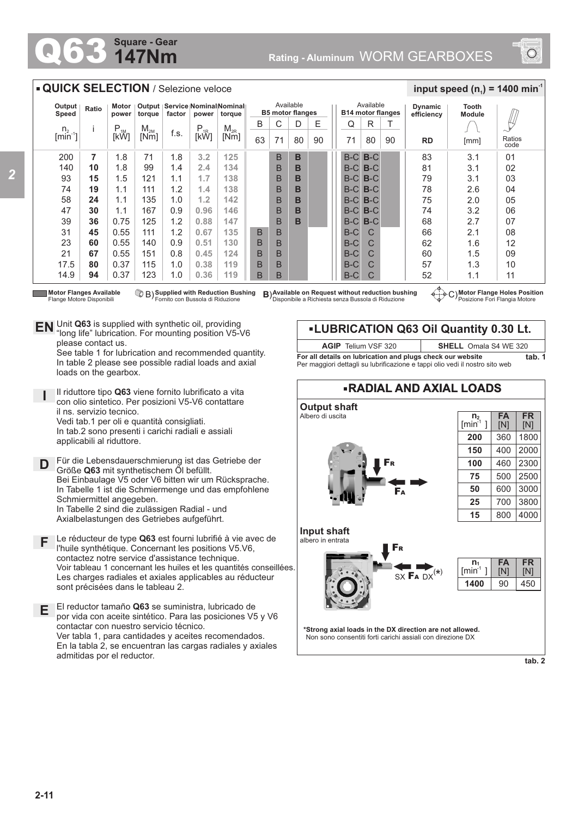## **147Nm Square - Gear**



## **QUICK SELECTION / Selezione veloce**

| Output<br>Speed                                                                                                                                                                                                                                                                                                                  | Ratio | Motor<br>power | torque          | Output   Service   Nominal Nominal  <br>factor<br>power<br>toraue |          |          | Available<br><b>B5 motor flanges</b> |    |    |    | Available<br><b>B14 motor flanges</b> |       |    | <b>Dynamic</b><br>efficiency | Tooth<br><b>Module</b> |                |
|----------------------------------------------------------------------------------------------------------------------------------------------------------------------------------------------------------------------------------------------------------------------------------------------------------------------------------|-------|----------------|-----------------|-------------------------------------------------------------------|----------|----------|--------------------------------------|----|----|----|---------------------------------------|-------|----|------------------------------|------------------------|----------------|
| n <sub>2</sub>                                                                                                                                                                                                                                                                                                                   |       | $P_{1M}$       | M <sub>2M</sub> |                                                                   | $P_{1R}$ | $M_{2R}$ | B                                    | С  | D  | Ε  | Q                                     | R     |    |                              |                        | Щ              |
| $\left[\text{min}^{\text{-}1}\right]$                                                                                                                                                                                                                                                                                            |       | [kW]           | [Nm]            | f.s.                                                              | [kW]     | [Nm]     | 63                                   | 71 | 80 | 90 | 71                                    | 80    | 90 | <b>RD</b>                    | [mm]                   | Ratios<br>code |
| 200                                                                                                                                                                                                                                                                                                                              | 7     | 1.8            | 71              | 1.8                                                               | 3.2      | 125      |                                      | B  | B  |    | $B-C$ $B-C$                           |       |    | 83                           | 3.1                    | 0 <sub>1</sub> |
| 140                                                                                                                                                                                                                                                                                                                              | 10    | 1.8            | 99              | 1.4                                                               | 2.4      | 134      |                                      | B  | в  |    | $B-C$                                 | $B-C$ |    | 81                           | 3.1                    | 02             |
| 93                                                                                                                                                                                                                                                                                                                               | 15    | 1.5            | 121             | 1.1                                                               | 1.7      | 138      |                                      | B  | в  |    | $B-C$                                 | $B-C$ |    | 79                           | 3.1                    | 03             |
| 74                                                                                                                                                                                                                                                                                                                               | 19    | 1.1            | 111             | 1.2                                                               | 1.4      | 138      |                                      | B  | в  |    | $B-C$                                 | $B-C$ |    | 78                           | 2.6                    | 04             |
| 58                                                                                                                                                                                                                                                                                                                               | 24    | 1.1            | 135             | 1.0                                                               | 1.2      | 142      |                                      | B  | B  |    | $B-C$                                 | $B-C$ |    | 75                           | 2.0                    | 05             |
| 47                                                                                                                                                                                                                                                                                                                               | 30    | 1.1            | 167             | 0.9                                                               | 0.96     | 146      |                                      | B  | в  |    | $B-C$                                 | $B-C$ |    | 74                           | 3.2                    | 06             |
| 39                                                                                                                                                                                                                                                                                                                               | 36    | 0.75           | 125             | 1.2                                                               | 0.88     | 147      |                                      | B  | в  |    | $B-C$                                 | $B-C$ |    | 68                           | 2.7                    | 07             |
| 31                                                                                                                                                                                                                                                                                                                               | 45    | 0.55           | 111             | 1.2                                                               | 0.67     | 135      | B                                    | B  |    |    | $B-C$                                 | C     |    | 66                           | 2.1                    | 08             |
| 23                                                                                                                                                                                                                                                                                                                               | 60    | 0.55           | 140             | 0.9                                                               | 0.51     | 130      | B                                    | B  |    |    | $B-C$                                 | С     |    | 62                           | 1.6                    | 12             |
| 21                                                                                                                                                                                                                                                                                                                               | 67    | 0.55           | 151             | 0.8                                                               | 0.45     | 124      | B                                    | B  |    |    | $B-C$                                 | C     |    | 60                           | 1.5                    | 09             |
| 17.5                                                                                                                                                                                                                                                                                                                             | 80    | 0.37           | 115             | 1.0                                                               | 0.38     | 119      | B                                    | B  |    |    | $B-C$                                 |       |    | 57                           | 1.3                    | 10             |
| 14.9                                                                                                                                                                                                                                                                                                                             | 94    | 0.37           | 123             | 1.0                                                               | 0.36     | 119      | B                                    | B  |    |    | $B-C$                                 | C     |    | 52                           | 1.1                    | 11             |
| B) Available on Request without reduction bushing<br><b>Motor Flanges Available</b><br>B) Supplied with Reduction Bushing<br>C) Motor Flange Holes Position<br>$-6 - -6$<br>Posizione Fori Flangia Motore<br>Fornito con Bussola di Riduzione<br>Disponibile a Richiesta senza Bussola di Riduzione<br>Flange Motore Disponibili |       |                |                 |                                                                   |          |          |                                      |    |    |    |                                       |       |    |                              |                        |                |

C) Motor Flange Holes Position<br>
Posizione Fori Flangia Motore

 $\frac{1}{2}$  **input speed (n**<sub>1</sub>) = 1400 min<sup>-1</sup>

Unit **Q63** is supplied with synthetic oil, providing **EN** Unit Q63 is supplied with synthetic oil, providing<br>"long life" lubrication. For mounting position V5-V6 please contact us.

See table 1 for lubrication and recommended quantity. In table 2 please see possible radial loads and axial loads on the gearbox.

**I** Il riduttore tipo **Q63** viene fornito lubrificato a vita con olio sintetico. Per posizioni V5-V6 contattare il ns. servizio tecnico. Vedi tab.1 per oli e quantità consigliati. In tab.2 sono presenti i carichi radiali e assiali applicabili al riduttore.

**D** Für die Lebensdauerschmierung ist das Getriebe der<br>
Größe Q63 mit synthetischem Öl befüllt Größe **Q63** mit synthetischem Öl befüllt. Bei Einbaulage V5 oder V6 bitten wir um Rücksprache. In Tabelle 1 ist die Schmiermenge und das empfohlene Schmiermittel angegeben. In Tabelle 2 sind die zulässigen Radial - und Axialbelastungen des Getriebes aufgeführt.

- **F** Le réducteur de type **Q63** est fourni lubrifié à vie avec de l'huile synthétique. Concernant les positions V5.V6, contactez notre service d'assistance technique. Voir tableau 1 concernant les huiles et les quantités conseillées. Les charges radiales et axiales applicables au réducteur sont précisées dans le tableau 2.
- **E** El reductor tamaño **Q63** se suministra, lubricado de por vida con aceite sintético. Para las posiciones V5 y V6 contactar con nuestro servicio técnico. Ver tabla 1, para cantidades y aceites recomendados. En la tabla 2, se encuentran las cargas radiales y axiales admitidas por el reductor.

**LUBRICATION Q63 Oil Quantity 0.30 Lt. AGIP** Telium VSF 320 **SHELL** Omala S4 WE 320

**For all details on lubrication and plugs check our website tab. 1** Per maggiori dettagli su lubrificazione e tappi olio vedi il nostro sito web



**tab. 2**